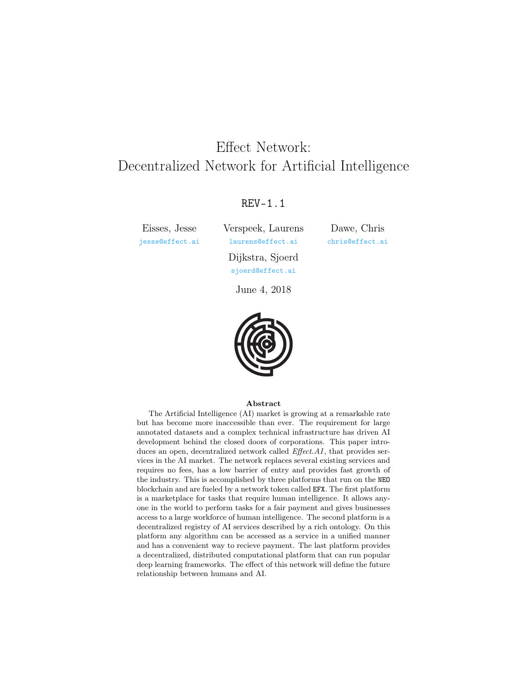# <span id="page-0-1"></span><span id="page-0-0"></span>Effect Network: Decentralized Network for Artificial Intelligence

### REV-1.1

Eisses, Jesse [jesse@effect.ai](mailto:jesse@effect.ai) Verspeek, Laurens [laurens@effect.ai](mailto:laurens@effect.ai)

Dawe, Chris [chris@effect.ai](mailto:chris@effect.ai)

Dijkstra, Sjoerd [sjoerd@effect.ai](mailto:sjoerd@effect.ai)

June 4, 2018



#### Abstract

The [Artificial Intelligence \(AI\)](#page-23-0) market is growing at a remarkable rate but has become more inaccessible than ever. The requirement for large annotated datasets and a complex technical infrastructure has driven [AI](#page-23-0) development behind the closed doors of corporations. This paper introduces an open, decentralized network called Effect.AI, that provides services in the [AI](#page-23-0) market. The network replaces several existing services and requires no fees, has a low barrier of entry and provides fast growth of the industry. This is accomplished by three platforms that run on the NEO blockchain and are fueled by a network token called EFX. The first platform is a marketplace for tasks that require human intelligence. It allows anyone in the world to perform tasks for a fair payment and gives businesses access to a large workforce of human intelligence. The second platform is a decentralized registry of [AI](#page-23-0) services described by a rich ontology. On this platform any algorithm can be accessed as a service in a unified manner and has a convenient way to recieve payment. The last platform provides a decentralized, distributed computational platform that can run popular deep learning frameworks. The effect of this network will define the future relationship between humans and [AI.](#page-23-0)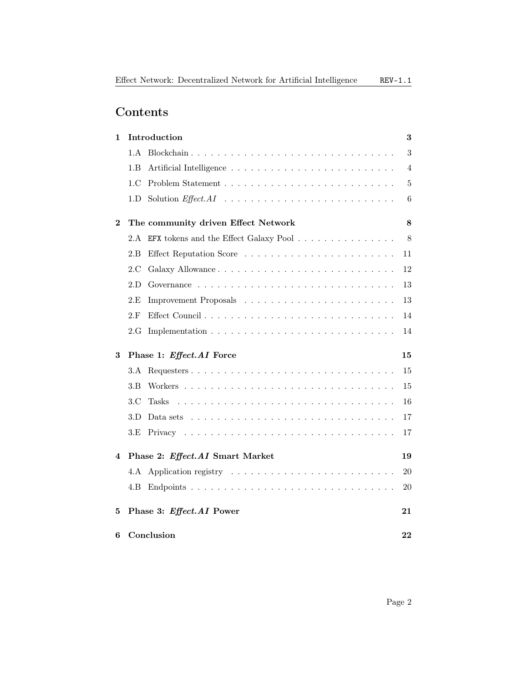## Contents

| 1        | Introduction                                                                                     | 3         |
|----------|--------------------------------------------------------------------------------------------------|-----------|
|          | 1.A                                                                                              | 3         |
|          | 1.B                                                                                              | 4         |
|          | 1.C                                                                                              | 5         |
|          | 1.D                                                                                              | 6         |
| $\bf{2}$ | The community driven Effect Network                                                              | 8         |
|          | 2.A EFX tokens and the Effect Galaxy Pool                                                        | 8         |
|          | 2.B                                                                                              | 11        |
|          | 2.C<br>Galaxy Allowance                                                                          | 12        |
|          | 2.D                                                                                              | 13        |
|          | 2.E                                                                                              | 13        |
|          | 2.F                                                                                              | 14        |
|          | 2.G                                                                                              | 14        |
| 3        | Phase 1: Effect.AI Force                                                                         | 15        |
|          | 3.A                                                                                              | 15        |
|          | 3.B                                                                                              | 15        |
|          | 3.C<br>Tasks                                                                                     | 16        |
|          | 3.D<br>Data sets $\dots \dots \dots \dots \dots \dots \dots \dots \dots \dots \dots \dots \dots$ | 17        |
|          | $3.E$                                                                                            | 17        |
| 4        | Phase 2: Effect.AI Smart Market                                                                  | 19        |
|          | 4.A                                                                                              | 20        |
|          | 4.B                                                                                              | 20        |
| 5        | Phase 3: Effect.AI Power                                                                         | 21        |
| 6        | Conclusion                                                                                       | $\bf{22}$ |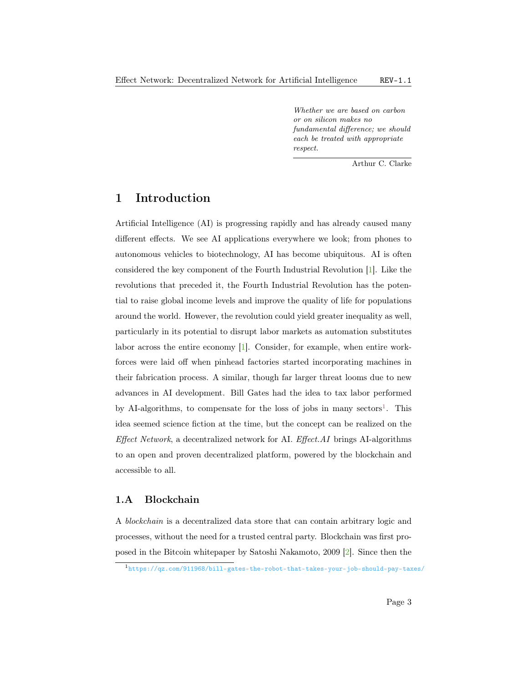Whether we are based on carbon or on silicon makes no fundamental difference; we should each be treated with appropriate respect.

Arthur C. Clarke

## <span id="page-2-2"></span><span id="page-2-0"></span>1 Introduction

[Artificial Intelligence \(AI\)](#page-23-0) is progressing rapidly and has already caused many different effects. We see [AI](#page-23-0) applications everywhere we look; from phones to autonomous vehicles to biotechnology, [AI](#page-23-0) has become ubiquitous. [AI](#page-23-0) is often considered the key component of the Fourth Industrial Revolution [\[1\]](#page-25-0). Like the revolutions that preceded it, the Fourth Industrial Revolution has the potential to raise global income levels and improve the quality of life for populations around the world. However, the revolution could yield greater inequality as well, particularly in its potential to disrupt labor markets as automation substitutes labor across the entire economy [\[1\]](#page-25-0). Consider, for example, when entire workforces were laid off when pinhead factories started incorporating machines in their fabrication process. A similar, though far larger threat looms due to new advances in [AI](#page-23-0) development. Bill Gates had the idea to tax labor performed by [AI-](#page-23-0)algorithms, to compensate for the loss of jobs in many sectors<sup>[1](#page-0-0)</sup>. This idea seemed science fiction at the time, but the concept can be realized on the Effect Network, a decentralized network for [AI.](#page-23-0) Effect.AI brings [AI-](#page-23-0)algorithms to an open and proven decentralized platform, powered by the blockchain and accessible to all.

#### <span id="page-2-1"></span>1.A Blockchain

A blockchain is a decentralized data store that can contain arbitrary logic and processes, without the need for a trusted central party. Blockchain was first proposed in the Bitcoin whitepaper by Satoshi Nakamoto, 2009 [\[2\]](#page-25-1). Since then the

<sup>1</sup><https://qz.com/911968/bill-gates-the-robot-that-takes-your-job-should-pay-taxes/>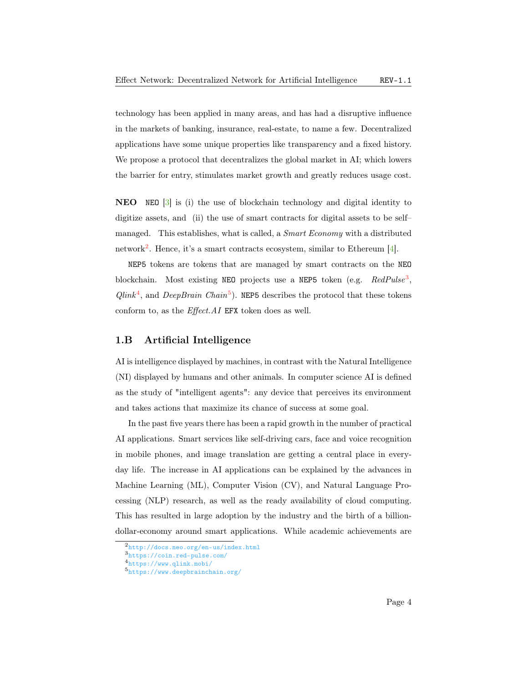<span id="page-3-1"></span>technology has been applied in many areas, and has had a disruptive influence in the markets of banking, insurance, real-estate, to name a few. Decentralized applications have some unique properties like transparency and a fixed history. We propose a protocol that decentralizes the global market in [AI;](#page-23-0) which lowers the barrier for entry, stimulates market growth and greatly reduces usage cost.

NEO NEO [\[3\]](#page-25-2) is (i) the use of blockchain technology and digital identity to digitize assets, and (ii) the use of smart contracts for digital assets to be self– managed. This establishes, what is called, a *Smart Economy* with a distributed network<sup>[2](#page-0-0)</sup>. Hence, it's a smart contracts ecosystem, similar to Ethereum [\[4\]](#page-25-3).

NEP5 tokens are tokens that are managed by smart contracts on the NEO blockchain. Most existing NEO projects use a NEP5 token (e.g.  $RedPulse<sup>3</sup>$  $RedPulse<sup>3</sup>$  $RedPulse<sup>3</sup>$ ,  $Qlink<sup>4</sup>$  $Qlink<sup>4</sup>$  $Qlink<sup>4</sup>$ , and *DeepBrain Chain*<sup>[5](#page-0-0)</sup>). NEP5 describes the protocol that these tokens conform to, as the Effect.AI EFX token does as well.

#### <span id="page-3-0"></span>1.B Artificial Intelligence

[AI](#page-23-0) is intelligence displayed by machines, in contrast with the [Natural Intelligence](#page-24-0) [\(NI\)](#page-24-0) displayed by humans and other animals. In computer science [AI](#page-23-0) is defined as the study of "intelligent agents": any device that perceives its environment and takes actions that maximize its chance of success at some goal.

In the past five years there has been a rapid growth in the number of practical [AI](#page-23-0) applications. Smart services like self-driving cars, face and voice recognition in mobile phones, and image translation are getting a central place in everyday life. The increase in [AI](#page-23-0) applications can be explained by the advances in [Machine Learning \(ML\),](#page-23-1) [Computer Vision \(CV\),](#page-23-2) and [Natural Language Pro](#page-24-1)[cessing \(NLP\)](#page-24-1) research, as well as the ready availability of cloud computing. This has resulted in large adoption by the industry and the birth of a billiondollar-economy around smart applications. While academic achievements are

<sup>2</sup><http://docs.neo.org/en-us/index.html>

<sup>3</sup><https://coin.red-pulse.com/>

<sup>4</sup><https://www.qlink.mobi/>

<sup>5</sup><https://www.deepbrainchain.org/>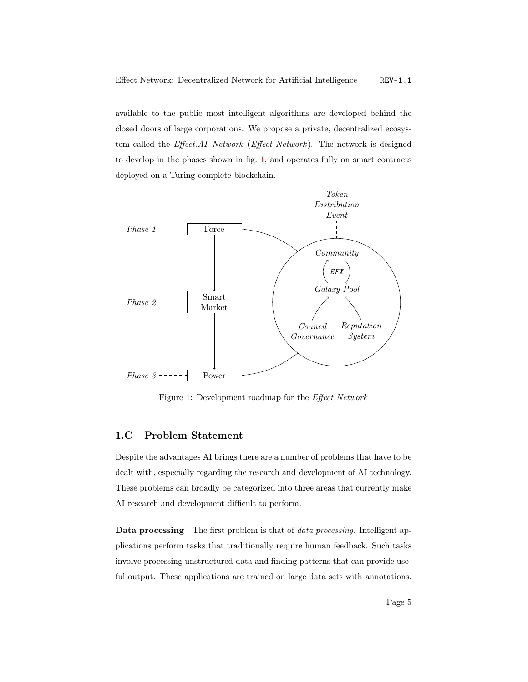<span id="page-4-2"></span>available to the public most intelligent algorithms are developed behind the closed doors of large corporations. We propose a private, decentralized ecosystem called the [Effect.AI Network](#page-23-3) (Effect Network). The network is designed to develop in the phases shown in fig. [1,](#page-4-1) and operates fully on smart contracts deployed on a Turing-complete blockchain.



<span id="page-4-1"></span>Figure 1: Development roadmap for the Effect Network

### <span id="page-4-0"></span>1.C Problem Statement

Despite the advantages [AI](#page-23-0) brings there are a number of problems that have to be dealt with, especially regarding the research and development of [AI](#page-23-0) technology. These problems can broadly be categorized into three areas that currently make [AI](#page-23-0) research and development difficult to perform.

Data processing The first problem is that of *data processing*. Intelligent applications perform tasks that traditionally require human feedback. Such tasks involve processing unstructured data and finding patterns that can provide useful output. These applications are trained on large data sets with annotations.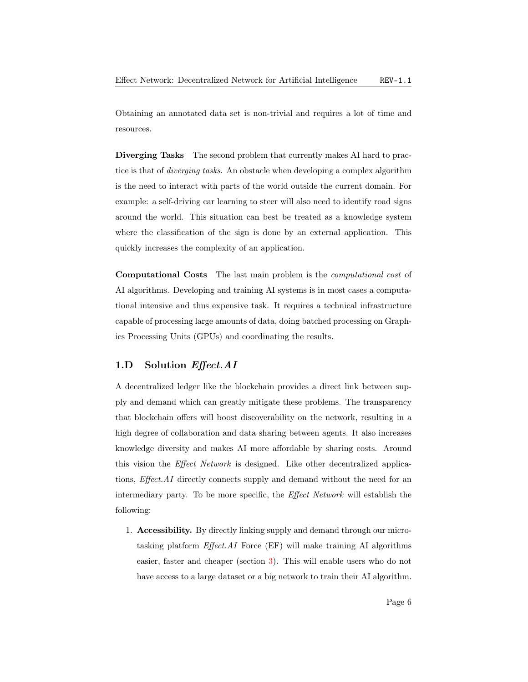<span id="page-5-1"></span>Obtaining an annotated data set is non-trivial and requires a lot of time and resources.

Diverging Tasks The second problem that currently makes [AI](#page-23-0) hard to practice is that of diverging tasks. An obstacle when developing a complex algorithm is the need to interact with parts of the world outside the current domain. For example: a self-driving car learning to steer will also need to identify road signs around the world. This situation can best be treated as a knowledge system where the classification of the sign is done by an external application. This quickly increases the complexity of an application.

Computational Costs The last main problem is the computational cost of [AI](#page-23-0) algorithms. Developing and training [AI](#page-23-0) systems is in most cases a computational intensive and thus expensive task. It requires a technical infrastructure capable of processing large amounts of data, doing batched processing on [Graph](#page-23-4)[ics Processing Units \(GPUs\)](#page-23-4) and coordinating the results.

#### <span id="page-5-0"></span>1.D Solution Effect.AI

A decentralized ledger like the blockchain provides a direct link between supply and demand which can greatly mitigate these problems. The transparency that blockchain offers will boost discoverability on the network, resulting in a high degree of collaboration and data sharing between agents. It also increases knowledge diversity and makes [AI](#page-23-0) more affordable by sharing costs. Around this vision the [Effect Network](#page-23-3) is designed. Like other decentralized applications, Effect.AI directly connects supply and demand without the need for an intermediary party. To be more specific, the [Effect Network](#page-23-3) will establish the following:

1. Accessibility. By directly linking supply and demand through our microtasking platform Effect.AI [Force \(EF\)](#page-23-5) will make training [AI](#page-23-0) algorithms easier, faster and cheaper (section [3\)](#page-14-0). This will enable users who do not have access to a large dataset or a big network to train their [AI](#page-23-0) algorithm.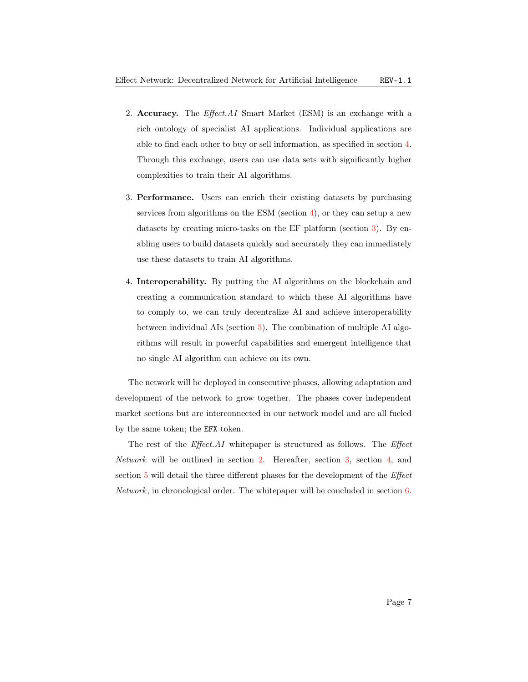- <span id="page-6-0"></span>2. Accuracy. The *Effect.AI* [Smart Market \(ESM\)](#page-23-6) is an exchange with a rich ontology of specialist [AI](#page-23-0) applications. Individual applications are able to find each other to buy or sell information, as specified in section [4.](#page-18-0) Through this exchange, users can use data sets with significantly higher complexities to train their [AI](#page-23-0) algorithms.
- 3. Performance. Users can enrich their existing datasets by purchasing services from algorithms on the [ESM](#page-23-6) (section  $4$ ), or they can setup a new datasets by creating micro-tasks on the [EF](#page-23-5) platform (section [3\)](#page-14-0). By enabling users to build datasets quickly and accurately they can immediately use these datasets to train [AI](#page-23-0) algorithms.
- 4. Interoperability. By putting the [AI](#page-23-0) algorithms on the blockchain and creating a communication standard to which these [AI](#page-23-0) algorithms have to comply to, we can truly decentralize [AI](#page-23-0) and achieve interoperability between individual [AIs](#page-23-0) (section [5\)](#page-20-0). The combination of multiple [AI](#page-23-0) algorithms will result in powerful capabilities and emergent intelligence that no single [AI](#page-23-0) algorithm can achieve on its own.

The network will be deployed in consecutive phases, allowing adaptation and development of the network to grow together. The phases cover independent market sections but are interconnected in our network model and are all fueled by the same token; the EFX token.

The rest of the *[Effect](#page-23-3).AI* whitepaper is structured as follows. The *Effect* [Network](#page-23-3) will be outlined in section [2.](#page-7-0) Hereafter, section [3,](#page-14-0) section [4,](#page-18-0) and section [5](#page-20-0) will detail the three different phases for the development of the [Effect](#page-23-3) [Network](#page-23-3), in chronological order. The whitepaper will be concluded in section [6.](#page-21-0)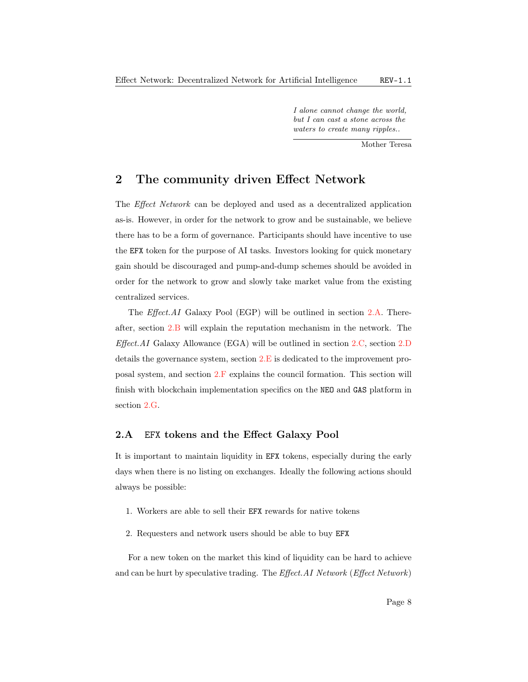I alone cannot change the world, but I can cast a stone across the waters to create many ripples..

Mother Teresa

## <span id="page-7-2"></span><span id="page-7-0"></span>2 The community driven Effect Network

The [Effect Network](#page-23-3) can be deployed and used as a decentralized application as-is. However, in order for the network to grow and be sustainable, we believe there has to be a form of governance. Participants should have incentive to use the EFX token for the purpose of [AI](#page-23-0) tasks. Investors looking for quick monetary gain should be discouraged and pump-and-dump schemes should be avoided in order for the network to grow and slowly take market value from the existing centralized services.

The Effect.AI [Galaxy Pool \(EGP\)](#page-23-7) will be outlined in section [2.A.](#page-7-1) Thereafter, section [2.B](#page-10-0) will explain the reputation mechanism in the network. The  $Effect.AI$  [Galaxy Allowance \(EGA\)](#page-23-8) will be outlined in section [2.C,](#page-11-0) section [2.D](#page-12-0) details the governance system, section [2.E](#page-12-1) is dedicated to the improvement proposal system, and section [2.F](#page-13-0) explains the council formation. This section will finish with blockchain implementation specifics on the NEO and GAS platform in section [2.G.](#page-13-1)

#### <span id="page-7-1"></span>2.A EFX tokens and the Effect Galaxy Pool

It is important to maintain liquidity in EFX tokens, especially during the early days when there is no listing on exchanges. Ideally the following actions should always be possible:

- 1. Workers are able to sell their EFX rewards for native tokens
- 2. Requesters and network users should be able to buy EFX

For a new token on the market this kind of liquidity can be hard to achieve and can be hurt by speculative trading. The *[Effect.AI Network](#page-23-3)* (*Effect Network*)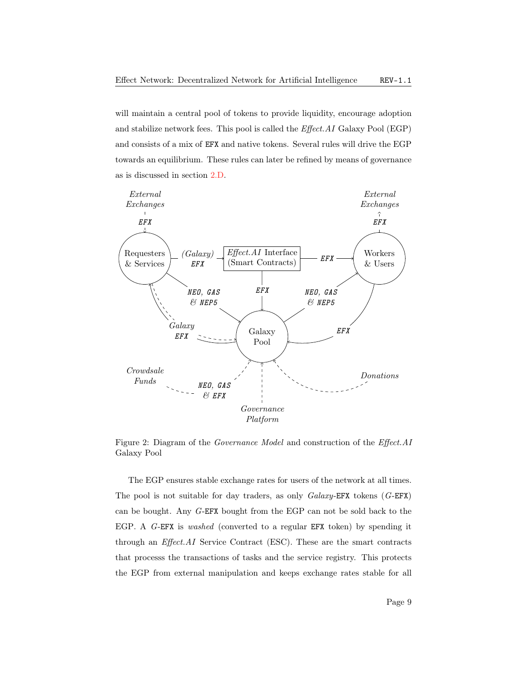<span id="page-8-0"></span>will maintain a central pool of tokens to provide liquidity, encourage adoption and stabilize network fees. This pool is called the Effect.AI [Galaxy Pool \(EGP\)](#page-23-7) and consists of a mix of EFX and native tokens. Several rules will drive the [EGP](#page-23-7) towards an equilibrium. These rules can later be refined by means of governance as is discussed in section [2.D.](#page-12-0)



Figure 2: Diagram of the Governance Model and construction of the Effect.AI Galaxy Pool

The [EGP](#page-23-7) ensures stable exchange rates for users of the network at all times. The pool is not suitable for day traders, as only  $Galaxy$ -EFX tokens  $(G$ -EFX) can be bought. Any G-[EFX](#page-23-9) bought from the [EGP](#page-23-7) can not be sold back to the [EGP.](#page-23-7) A G-[EFX](#page-23-9) is washed (converted to a regular EFX token) by spending it through an Effect.AI [Service Contract \(ESC\).](#page-23-10) These are the smart contracts that processs the transactions of tasks and the service registry. This protects the [EGP](#page-23-7) from external manipulation and keeps exchange rates stable for all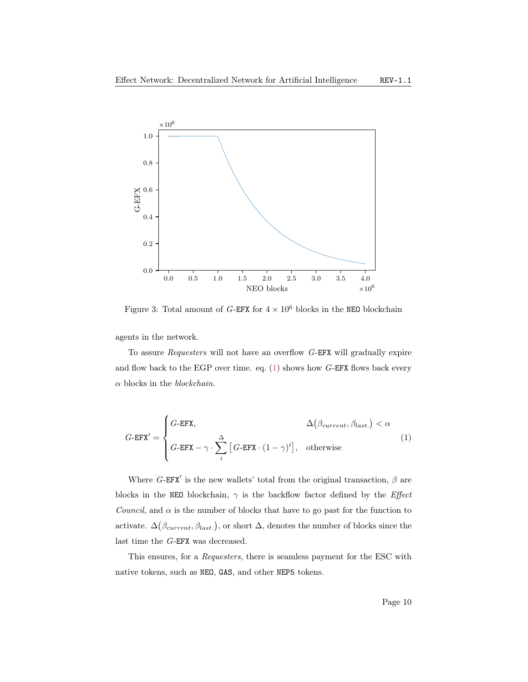<span id="page-9-1"></span>

Figure 3: Total amount of  $G\text{-}\mathtt{EFX}$  $G\text{-}\mathtt{EFX}$  $G\text{-}\mathtt{EFX}$  for  $4\times10^6$  blocks in the  $\mathtt{NEO}$  blockchain

agents in the network.

To assure Requesters will not have an overflow G-[EFX](#page-23-9) will gradually expire and flow back to the [EGP](#page-23-7) over time. eq.  $(1)$  shows how G-[EFX](#page-23-9) flows back every  $\alpha$  blocks in the blockchain.

<span id="page-9-0"></span>
$$
G\text{-EFX} = \begin{cases} G\text{-EFX}, & \Delta(\beta_{current}, \beta_{last.}) < \alpha \\ G\text{-EFX} - \gamma \cdot \sum_{i}^{\Delta} \left[ G\text{-EFX} \cdot (1-\gamma)^{i} \right], & \text{otherwise} \end{cases}
$$
(1)

Where  $G$ -[EFX](#page-23-9)' is the new wallets' total from the original transaction,  $\beta$  are blocks in the NEO blockchain,  $\gamma$  is the backflow factor defined by the *Effect* Council, and  $\alpha$  is the number of blocks that have to go past for the function to activate.  $\Delta(\beta_{current}, \beta_{last.})$ , or short  $\Delta$ , denotes the number of blocks since the last time the G-[EFX](#page-23-9) was decreased.

This ensures, for a Requesters, there is seamless payment for the [ESC](#page-23-10) with native tokens, such as NEO, GAS, and other NEP5 tokens.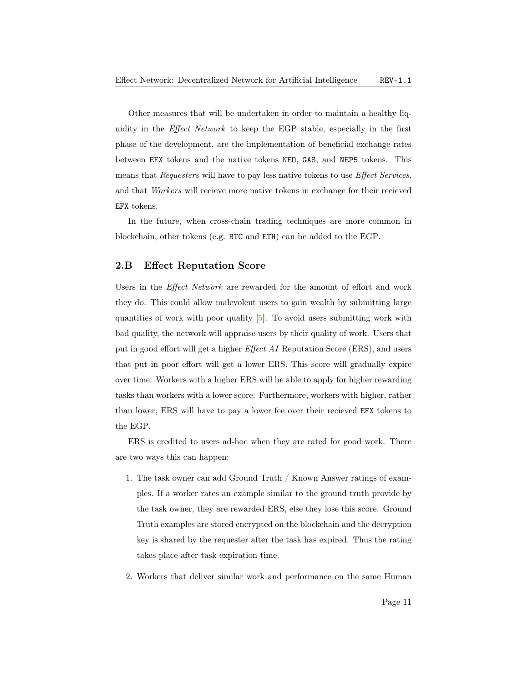<span id="page-10-1"></span>Other measures that will be undertaken in order to maintain a healthy liquidity in the [Effect Network](#page-23-3) to keep the [EGP](#page-23-7) stable, especially in the first phase of the development, are the implementation of beneficial exchange rates between EFX tokens and the native tokens NEO, GAS, and NEP5 tokens. This means that Requesters will have to pay less native tokens to use Effect Services, and that Workers will recieve more native tokens in exchange for their recieved EFX tokens.

In the future, when cross-chain trading techniques are more common in blockchain, other tokens (e.g. BTC and ETH) can be added to the [EGP.](#page-23-7)

#### <span id="page-10-0"></span>2.B Effect Reputation Score

Users in the [Effect Network](#page-23-3) are rewarded for the amount of effort and work they do. This could allow malevolent users to gain wealth by submitting large quantities of work with poor quality [\[5\]](#page-25-4). To avoid users submitting work with bad quality, the network will appraise users by their quality of work. Users that put in good effort will get a higher Effect.AI [Reputation Score \(ERS\),](#page-23-11) and users that put in poor effort will get a lower [ERS.](#page-23-11) This score will gradually expire over time. Workers with a higher [ERS](#page-23-11) will be able to apply for higher rewarding tasks than workers with a lower score. Furthermore, workers with higher, rather than lower, [ERS](#page-23-11) will have to pay a lower fee over their recieved EFX tokens to the [EGP.](#page-23-7)

[ERS](#page-23-11) is credited to users ad-hoc when they are rated for good work. There are two ways this can happen:

- 1. The task owner can add Ground Truth / Known Answer ratings of examples. If a worker rates an example similar to the ground truth provide by the task owner, they are rewarded [ERS,](#page-23-11) else they lose this score. Ground Truth examples are stored encrypted on the blockchain and the decryption key is shared by the requester after the task has expired. Thus the rating takes place after task expiration time.
- 2. Workers that deliver similar work and performance on the same [Human](#page-23-12)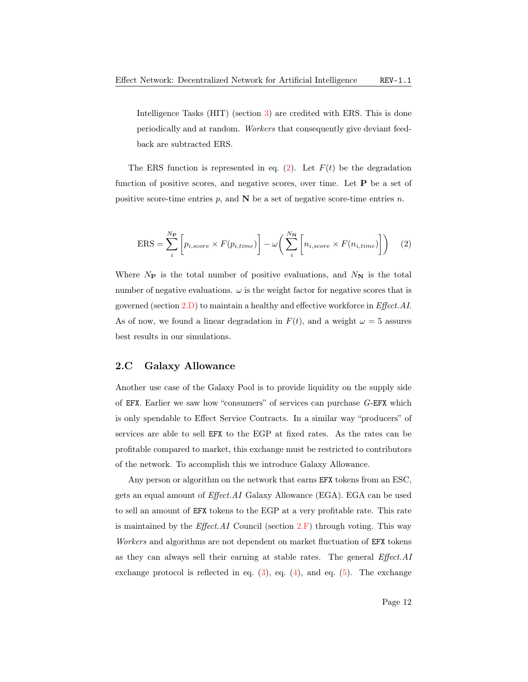<span id="page-11-2"></span>[Intelligence Tasks \(HIT\)](#page-23-12) (section [3\)](#page-14-0) are credited with [ERS.](#page-23-11) This is done periodically and at random. Workers that consequently give deviant feedback are subtracted [ERS.](#page-23-11)

The [ERS](#page-23-11) function is represented in eq.  $(2)$ . Let  $F(t)$  be the degradation function of positive scores, and negative scores, over time. Let  $P$  be a set of positive score-time entries  $p$ , and  $N$  be a set of negative score-time entries  $n$ .

<span id="page-11-1"></span>
$$
ERS = \sum_{i}^{N_{\mathbf{P}}} \left[ p_{i,score} \times F(p_{i,time}) \right] - \omega \left( \sum_{i}^{N_{\mathbf{N}}} \left[ n_{i,score} \times F(n_{i,time}) \right] \right) \tag{2}
$$

Where  $N_{\text{P}}$  is the total number of positive evaluations, and  $N_{\text{N}}$  is the total number of negative evaluations.  $\omega$  is the weight factor for negative scores that is governed (section [2.D\)](#page-12-0) to maintain a healthy and effective workforce in Effect.AI. As of now, we found a linear degradation in  $F(t)$ , and a weight  $\omega = 5$  assures best results in our simulations.

#### <span id="page-11-0"></span>2.C Galaxy Allowance

Another use case of the Galaxy Pool is to provide liquidity on the supply side of EFX. Earlier we saw how "consumers" of services can purchase G-[EFX](#page-23-9) which is only spendable to Effect Service Contracts. In a similar way "producers" of services are able to sell EFX to the [EGP](#page-23-7) at fixed rates. As the rates can be profitable compared to market, this exchange must be restricted to contributors of the network. To accomplish this we introduce Galaxy Allowance.

Any person or algorithm on the network that earns EFX tokens from an [ESC,](#page-23-10) gets an equal amount of  $Effect.AI$  [Galaxy Allowance \(EGA\).](#page-23-8) [EGA](#page-23-8) can be used to sell an amount of EFX tokens to the [EGP](#page-23-7) at a very profitable rate. This rate is maintained by the *Effect.AI* Council (section  $2.F$ ) through voting. This way Workers and algorithms are not dependent on market fluctuation of **EFX** tokens as they can always sell their earning at stable rates. The general Effect.AI exchange protocol is reflected in eq.  $(3)$ , eq.  $(4)$ , and eq.  $(5)$ . The exchange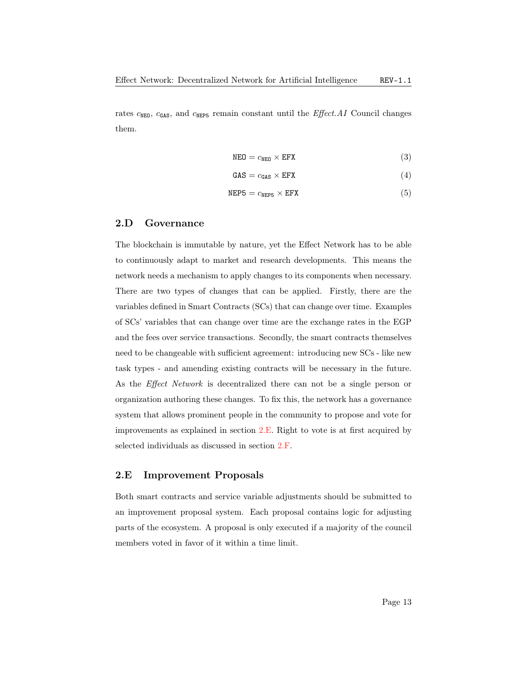<span id="page-12-5"></span>rates  $c_{\text{NEO}}$ ,  $c_{\text{GAS}}$ , and  $c_{\text{NEPS}}$  remain constant until the *Effect.AI* Council changes them.

<span id="page-12-4"></span><span id="page-12-3"></span><span id="page-12-2"></span>
$$
NEO = c_{NEO} \times EFX \tag{3}
$$

$$
GAS = c_{GAS} \times EFX \tag{4}
$$

$$
NEP5 = c_{NEP5} \times EFX \tag{5}
$$

#### <span id="page-12-0"></span>2.D Governance

The blockchain is immutable by nature, yet the Effect Network has to be able to continuously adapt to market and research developments. This means the network needs a mechanism to apply changes to its components when necessary. There are two types of changes that can be applied. Firstly, there are the variables defined in [Smart Contracts \(SCs\)](#page-24-2) that can change over time. Examples of [SCs'](#page-24-2) variables that can change over time are the exchange rates in the [EGP](#page-23-7) and the fees over service transactions. Secondly, the smart contracts themselves need to be changeable with sufficient agreement: introducing new [SCs](#page-24-2) - like new task types - and amending existing contracts will be necessary in the future. As the [Effect Network](#page-23-3) is decentralized there can not be a single person or organization authoring these changes. To fix this, the network has a governance system that allows prominent people in the community to propose and vote for improvements as explained in section [2.E.](#page-12-1) Right to vote is at first acquired by selected individuals as discussed in section [2.F.](#page-13-0)

#### <span id="page-12-1"></span>2.E Improvement Proposals

Both smart contracts and service variable adjustments should be submitted to an improvement proposal system. Each proposal contains logic for adjusting parts of the ecosystem. A proposal is only executed if a majority of the council members voted in favor of it within a time limit.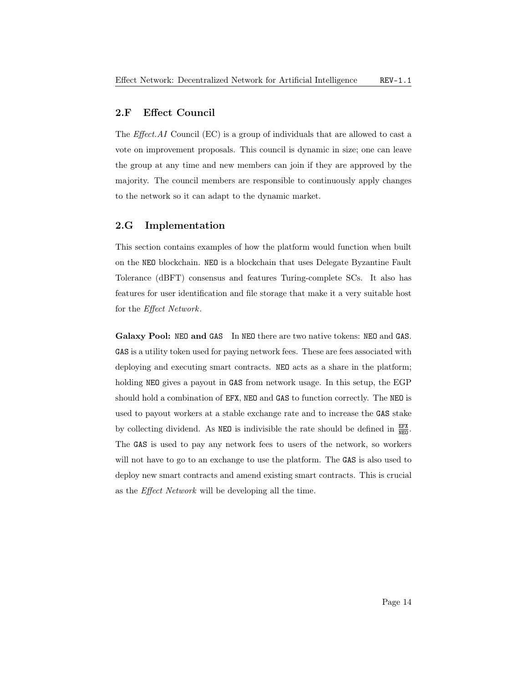#### <span id="page-13-2"></span><span id="page-13-0"></span>2.F Effect Council

The Effect.AI [Council \(EC\)](#page-23-13) is a group of individuals that are allowed to cast a vote on improvement proposals. This council is dynamic in size; one can leave the group at any time and new members can join if they are approved by the majority. The council members are responsible to continuously apply changes to the network so it can adapt to the dynamic market.

#### <span id="page-13-1"></span>2.G Implementation

This section contains examples of how the platform would function when built on the NEO blockchain. NEO is a blockchain that uses [Delegate Byzantine Fault](#page-23-14) [Tolerance \(dBFT\)](#page-23-14) consensus and features Turing-complete [SCs.](#page-24-2) It also has features for user identification and file storage that make it a very suitable host for the [Effect Network](#page-23-3).

Galaxy Pool: NEO and GAS In NEO there are two native tokens: NEO and GAS. GAS is a utility token used for paying network fees. These are fees associated with deploying and executing smart contracts. NEO acts as a share in the platform; holding NEO gives a payout in GAS from network usage. In this setup, the [EGP](#page-23-7) should hold a combination of EFX, NEO and GAS to function correctly. The NEO is used to payout workers at a stable exchange rate and to increase the GAS stake by collecting dividend. As **NEO** is indivisible the rate should be defined in  $\frac{EFX}{NEG}$ . The GAS is used to pay any network fees to users of the network, so workers will not have to go to an exchange to use the platform. The GAS is also used to deploy new smart contracts and amend existing smart contracts. This is crucial as the [Effect Network](#page-23-3) will be developing all the time.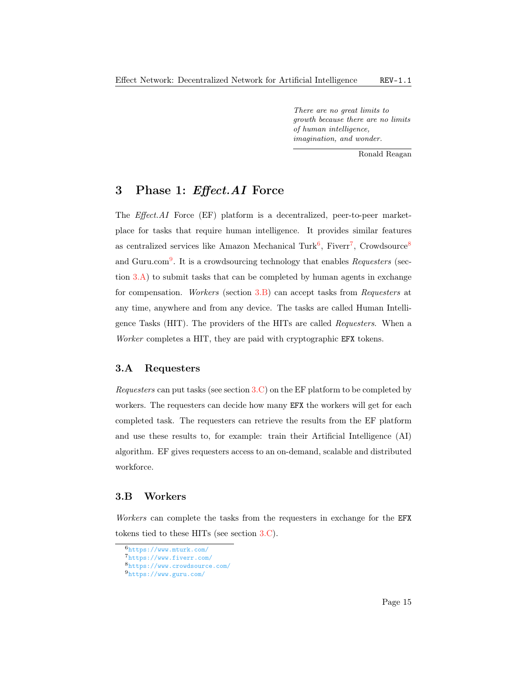There are no great limits to growth because there are no limits of human intelligence, imagination, and wonder.

Ronald Reagan

## <span id="page-14-3"></span><span id="page-14-0"></span>3 Phase 1: Effect.AI Force

The Effect.AI [Force \(EF\)](#page-23-5) platform is a decentralized, peer-to-peer marketplace for tasks that require human intelligence. It provides similar features as centralized services like Amazon Mechanical Turk<sup>[6](#page-0-0)</sup>, Fiverr<sup>[7](#page-0-0)</sup>, Crowdsource<sup>[8](#page-0-0)</sup> and Guru.com<sup>[9](#page-0-0)</sup>. It is a crowdsourcing technology that enables Requesters (section  $3.A$ ) to submit tasks that can be completed by human agents in exchange for compensation. Workers (section [3.B\)](#page-14-2) can accept tasks from Requesters at any time, anywhere and from any device. The tasks are called [Human Intelli](#page-23-12)[gence Tasks \(HIT\).](#page-23-12) The providers of the [HITs](#page-23-12) are called Requesters. When a Worker completes a [HIT,](#page-23-12) they are paid with cryptographic EFX tokens.

#### <span id="page-14-1"></span>3.A Requesters

Requesters can put tasks (see section [3.C\)](#page-15-0) on the [EF](#page-23-5) platform to be completed by workers. The requesters can decide how many EFX the workers will get for each completed task. The requesters can retrieve the results from the [EF](#page-23-5) platform and use these results to, for example: train their [Artificial Intelligence \(AI\)](#page-23-0) algorithm. [EF](#page-23-5) gives requesters access to an on-demand, scalable and distributed workforce.

#### <span id="page-14-2"></span>3.B Workers

Workers can complete the tasks from the requesters in exchange for the EFX tokens tied to these [HITs](#page-23-12) (see section [3.C\)](#page-15-0).

 $\overline{6}_{\text{https://www.mturk.com/}}$  $\overline{6}_{\text{https://www.mturk.com/}}$  $\overline{6}_{\text{https://www.mturk.com/}}$ 

<sup>7</sup><https://www.fiverr.com/>

<sup>8</sup><https://www.crowdsource.com/>

<sup>9</sup><https://www.guru.com/>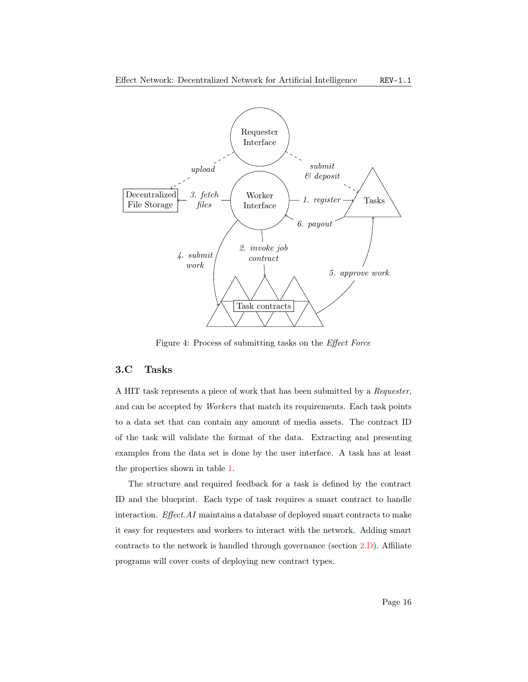

Figure 4: Process of submitting tasks on the Effect Force

#### <span id="page-15-0"></span>3.C Tasks

A [HIT](#page-23-12) task represents a piece of work that has been submitted by a Requester, and can be accepted by Workers that match its requirements. Each task points to a data set that can contain any amount of media assets. The contract ID of the task will validate the format of the data. Extracting and presenting examples from the data set is done by the user interface. A task has at least the properties shown in table [1.](#page-16-2)

The structure and required feedback for a task is defined by the contract ID and the blueprint. Each type of task requires a smart contract to handle interaction. Effect.AI maintains a database of deployed smart contracts to make it easy for requesters and workers to interact with the network. Adding smart contracts to the network is handled through governance (section [2.D\)](#page-12-0). Affiliate programs will cover costs of deploying new contract types.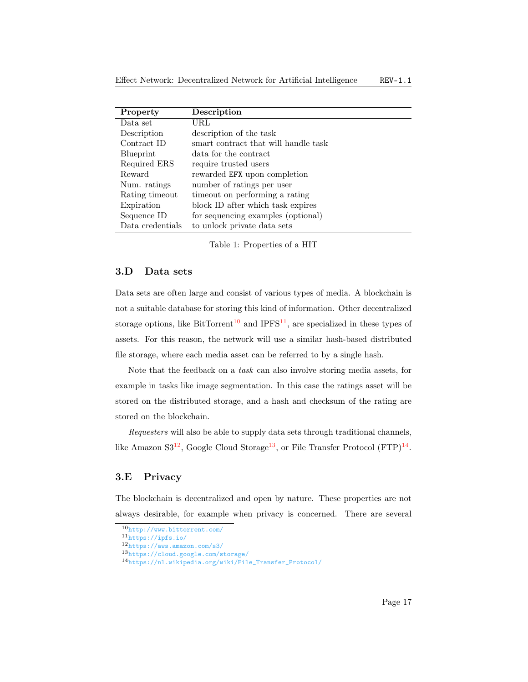<span id="page-16-3"></span>

| Property         | Description                          |
|------------------|--------------------------------------|
| Data set         | URL                                  |
| Description      | description of the task              |
| Contract ID      | smart contract that will handle task |
| Blueprint        | data for the contract                |
| Required ERS     | require trusted users                |
| Reward           | rewarded EFX upon completion         |
| Num. ratings     | number of ratings per user           |
| Rating timeout   | timeout on performing a rating       |
| Expiration       | block ID after which task expires    |
| Sequence ID      | for sequencing examples (optional)   |
| Data credentials | to unlock private data sets          |

<span id="page-16-2"></span>Table 1: Properties of a [HIT](#page-23-12)

#### <span id="page-16-0"></span>3.D Data sets

Data sets are often large and consist of various types of media. A blockchain is not a suitable database for storing this kind of information. Other decentralized storage options, like BitTorrent<sup>[10](#page-0-0)</sup> and IPFS<sup>[11](#page-0-0)</sup>, are specialized in these types of assets. For this reason, the network will use a similar hash-based distributed file storage, where each media asset can be referred to by a single hash.

Note that the feedback on a task can also involve storing media assets, for example in tasks like image segmentation. In this case the ratings asset will be stored on the distributed storage, and a hash and checksum of the rating are stored on the blockchain.

Requesters will also be able to supply data sets through traditional channels, like Amazon  $S3^{12}$  $S3^{12}$  $S3^{12}$ , Google Cloud Storage<sup>[13](#page-0-0)</sup>, or [File Transfer Protocol \(FTP\)](#page-23-15)<sup>[14](#page-0-0)</sup>.

#### <span id="page-16-1"></span>3.E Privacy

The blockchain is decentralized and open by nature. These properties are not always desirable, for example when privacy is concerned. There are several

<sup>10</sup><http://www.bittorrent.com/>

<sup>11</sup><https://ipfs.io/>

<sup>12</sup><https://aws.amazon.com/s3/>

<sup>13</sup><https://cloud.google.com/storage/>

<sup>14</sup>[https://nl.wikipedia.org/wiki/File\\_Transfer\\_Protocol/](https://nl.wikipedia.org/wiki/File_Transfer_Protocol/)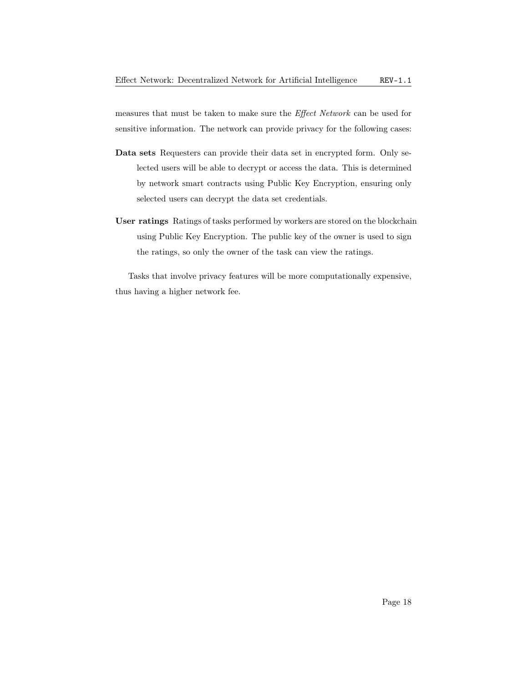<span id="page-17-0"></span>measures that must be taken to make sure the [Effect Network](#page-23-3) can be used for sensitive information. The network can provide privacy for the following cases:

- Data sets Requesters can provide their data set in encrypted form. Only selected users will be able to decrypt or access the data. This is determined by network smart contracts using Public Key Encryption, ensuring only selected users can decrypt the data set credentials.
- User ratings Ratings of tasks performed by workers are stored on the blockchain using Public Key Encryption. The public key of the owner is used to sign the ratings, so only the owner of the task can view the ratings.

Tasks that involve privacy features will be more computationally expensive, thus having a higher network fee.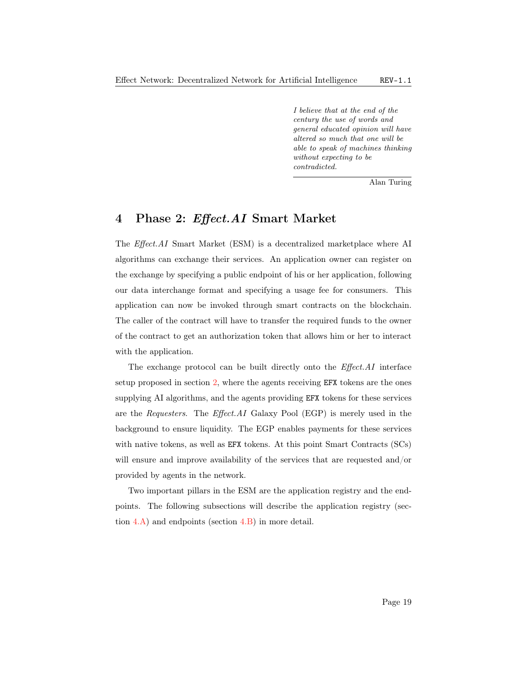I believe that at the end of the century the use of words and general educated opinion will have altered so much that one will be able to speak of machines thinking without expecting to be contradicted.

Alan Turing

### <span id="page-18-1"></span><span id="page-18-0"></span>4 Phase 2: Effect.AI Smart Market

The Effect.AI [Smart Market \(ESM\)](#page-23-6) is a decentralized marketplace where [AI](#page-23-0) algorithms can exchange their services. An application owner can register on the exchange by specifying a public endpoint of his or her application, following our data interchange format and specifying a usage fee for consumers. This application can now be invoked through smart contracts on the blockchain. The caller of the contract will have to transfer the required funds to the owner of the contract to get an authorization token that allows him or her to interact with the application.

The exchange protocol can be built directly onto the Effect.AI interface setup proposed in section [2,](#page-7-0) where the agents receiving EFX tokens are the ones supplying [AI](#page-23-0) algorithms, and the agents providing EFX tokens for these services are the Requesters. The Effect.AI [Galaxy Pool \(EGP\)](#page-23-7) is merely used in the background to ensure liquidity. The [EGP](#page-23-7) enables payments for these services with native tokens, as well as **EFX** tokens. At this point [Smart Contracts \(SCs\)](#page-24-2) will ensure and improve availability of the services that are requested and/or provided by agents in the network.

Two important pillars in the [ESM](#page-23-6) are the application registry and the endpoints. The following subsections will describe the application registry (section  $4.A$ ) and endpoints (section  $4.B$ ) in more detail.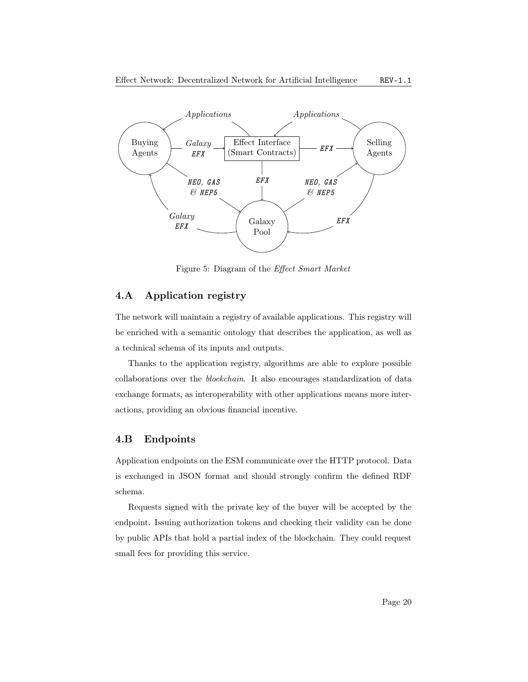<span id="page-19-2"></span>

Figure 5: Diagram of the Effect Smart Market

#### <span id="page-19-0"></span>4.A Application registry

The network will maintain a registry of available applications. This registry will be enriched with a semantic ontology that describes the application, as well as a technical schema of its inputs and outputs.

Thanks to the application registry, algorithms are able to explore possible collaborations over the blockchain. It also encourages standardization of data exchange formats, as interoperability with other applications means more interactions, providing an obvious financial incentive.

#### <span id="page-19-1"></span>4.B Endpoints

Application endpoints on the [ESM](#page-23-6) communicate over the HTTP protocol. Data is exchanged in JSON format and should strongly confirm the defined RDF schema.

Requests signed with the private key of the buyer will be accepted by the endpoint. Issuing authorization tokens and checking their validity can be done by public APIs that hold a partial index of the blockchain. They could request small fees for providing this service.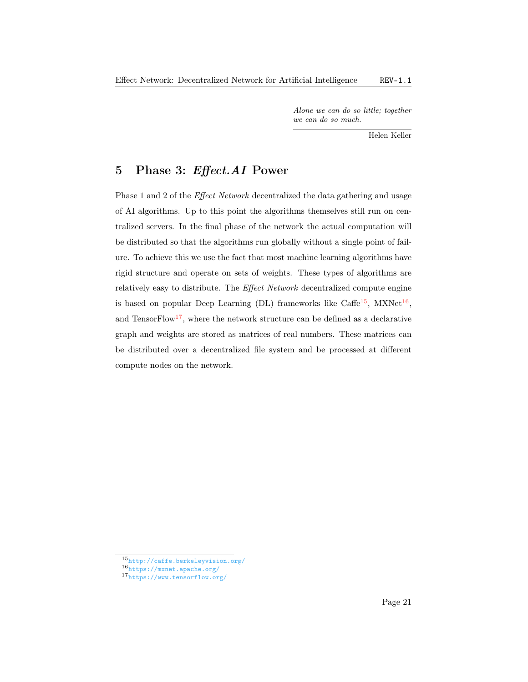Alone we can do so little; together we can do so much.

Helen Keller

## <span id="page-20-1"></span><span id="page-20-0"></span>5 Phase 3: Effect.AI Power

Phase 1 and 2 of the *[Effect Network](#page-23-3)* decentralized the data gathering and usage of [AI](#page-23-0) algorithms. Up to this point the algorithms themselves still run on centralized servers. In the final phase of the network the actual computation will be distributed so that the algorithms run globally without a single point of failure. To achieve this we use the fact that most machine learning algorithms have rigid structure and operate on sets of weights. These types of algorithms are relatively easy to distribute. The [Effect Network](#page-23-3) decentralized compute engine is based on popular [Deep Learning \(DL\)](#page-23-16) frameworks like Caffe<sup>[15](#page-0-0)</sup>, MXNet<sup>[16](#page-0-0)</sup>, and TensorFlow<sup>[17](#page-0-0)</sup>, where the network structure can be defined as a declarative graph and weights are stored as matrices of real numbers. These matrices can be distributed over a decentralized file system and be processed at different compute nodes on the network.

<sup>15</sup><http://caffe.berkeleyvision.org/>

<sup>16</sup><https://mxnet.apache.org/>

<sup>17</sup><https://www.tensorflow.org/>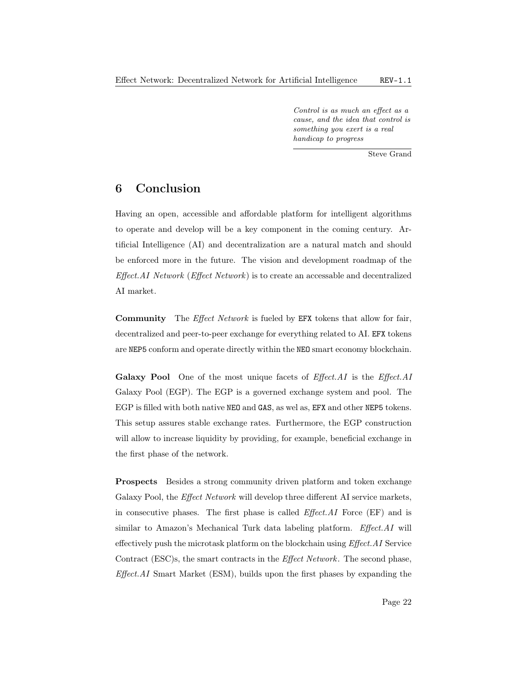Control is as much an effect as a cause, and the idea that control is something you exert is a real handicap to progress

Steve Grand

## <span id="page-21-1"></span><span id="page-21-0"></span>6 Conclusion

Having an open, accessible and affordable platform for intelligent algorithms to operate and develop will be a key component in the coming century. [Ar](#page-23-0)[tificial Intelligence \(AI\)](#page-23-0) and decentralization are a natural match and should be enforced more in the future. The vision and development roadmap of the  $Effect.AI Network (Effect Network)$  $Effect.AI Network (Effect Network)$  is to create an accessable and decentralized [AI](#page-23-0) market.

Community The [Effect Network](#page-23-3) is fueled by EFX tokens that allow for fair, decentralized and peer-to-peer exchange for everything related to [AI.](#page-23-0) EFX tokens are NEP5 conform and operate directly within the NEO smart economy blockchain.

**Galaxy Pool** One of the most unique facets of  $Effect.AI$  is the  $Effect.AI$ [Galaxy Pool \(EGP\).](#page-23-7) The [EGP](#page-23-7) is a governed exchange system and pool. The [EGP](#page-23-7) is filled with both native NEO and GAS, as wel as, EFX and other NEP5 tokens. This setup assures stable exchange rates. Furthermore, the [EGP](#page-23-7) construction will allow to increase liquidity by providing, for example, beneficial exchange in the first phase of the network.

Prospects Besides a strong community driven platform and token exchange Galaxy Pool, the *[Effect Network](#page-23-3)* will develop three different [AI](#page-23-0) service markets, in consecutive phases. The first phase is called Effect.AI [Force \(EF\)](#page-23-5) and is similar to Amazon's Mechanical Turk data labeling platform. Effect.AI will effectively push the microtask platform on the blockchain using [Effect.AI](#page-23-10) Service [Contract \(ESC\)s](#page-23-10), the smart contracts in the [Effect Network](#page-23-3). The second phase,  $Effect.AI$  [Smart Market \(ESM\),](#page-23-6) builds upon the first phases by expanding the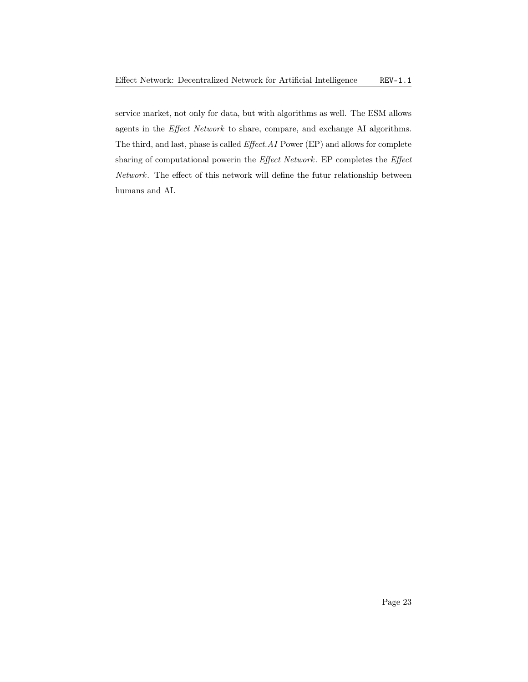<span id="page-22-0"></span>service market, not only for data, but with algorithms as well. The [ESM](#page-23-6) allows agents in the [Effect Network](#page-23-3) to share, compare, and exchange [AI](#page-23-0) algorithms. The third, and last, phase is called Effect.AI [Power \(EP\)](#page-23-17) and allows for complete sharing of computational powerin the [Effect Network](#page-23-3). [EP](#page-23-17) completes the [Effect](#page-23-3) [Network](#page-23-3). The effect of this network will define the futur relationship between humans and [AI.](#page-23-0)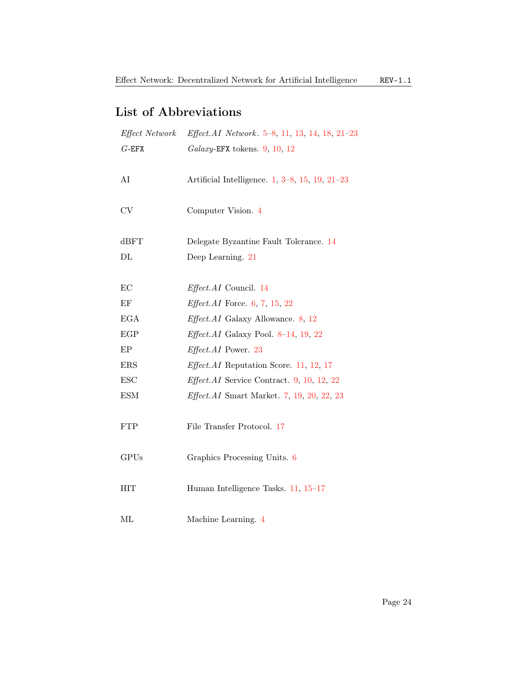## List of Abbreviations

<span id="page-23-17"></span><span id="page-23-16"></span><span id="page-23-15"></span><span id="page-23-14"></span><span id="page-23-13"></span><span id="page-23-12"></span><span id="page-23-11"></span><span id="page-23-10"></span><span id="page-23-9"></span><span id="page-23-8"></span><span id="page-23-7"></span><span id="page-23-6"></span><span id="page-23-5"></span><span id="page-23-4"></span><span id="page-23-3"></span><span id="page-23-2"></span><span id="page-23-1"></span><span id="page-23-0"></span>

| Effect Network | Effect.AI Network. 5–8, 11, 13, 14, 18, 21–23      |
|----------------|----------------------------------------------------|
| $G$ -EFX       | $Galaxy$ -EFX tokens. 9, 10, 12                    |
|                |                                                    |
| AI             | Artificial Intelligence. $1, 3-8, 15, 19, 21-23$   |
|                |                                                    |
| $\mathrm{CV}$  | Computer Vision. 4                                 |
|                |                                                    |
| dBFT           | Delegate Byzantine Fault Tolerance. 14             |
| $\rm DL$       | Deep Learning. 21                                  |
|                |                                                    |
| EC             | Effect.AI Council. 14                              |
| EF             | <i>Effect.AI</i> Force. $6, 7, 15, 22$             |
| <b>EGA</b>     | <i>Effect.AI</i> Galaxy Allowance. $8, 12$         |
| EGP            | <i>Effect.AI</i> Galaxy Pool. 8-14, 19, 22         |
| EP             | <i>Effect.AI</i> Power. 23                         |
| <b>ERS</b>     | <i>Effect.AI</i> Reputation Score. 11, 12, 17      |
| <b>ESC</b>     | <i>Effect.AI</i> Service Contract. $9, 10, 12, 22$ |
| <b>ESM</b>     | <i>Effect.AI</i> Smart Market. $7, 19, 20, 22, 23$ |
|                |                                                    |
| <b>FTP</b>     | File Transfer Protocol. 17                         |
|                |                                                    |
| <b>GPUs</b>    | Graphics Processing Units. 6                       |
|                |                                                    |
| HIT            | Human Intelligence Tasks. 11, 15-17                |
|                |                                                    |
| МL             | Machine Learning. 4                                |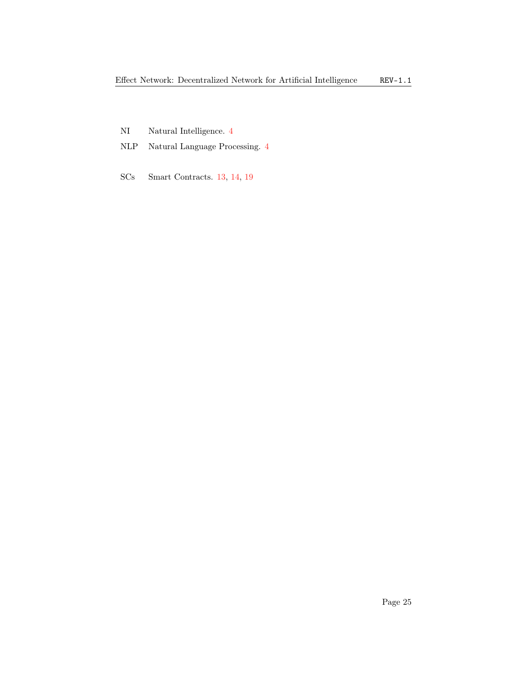- <span id="page-24-0"></span>NI Natural Intelligence. [4](#page-3-1)
- <span id="page-24-1"></span>NLP Natural Language Processing. [4](#page-3-1)
- <span id="page-24-2"></span>SCs Smart Contracts. [13,](#page-12-5) [14,](#page-13-2) [19](#page-18-1)